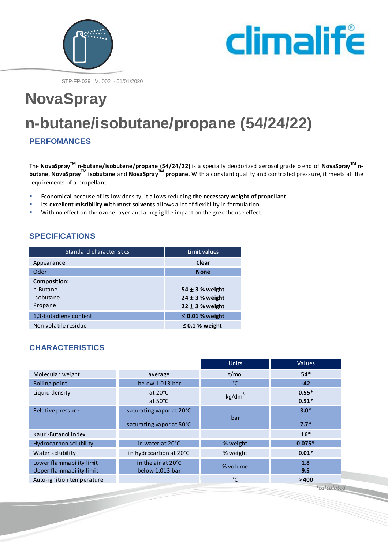



STP-FP-039 V. 002 - 01/01/2020

# **NovaSpray n-butane/isobutane/propane (54/24/22)**

**PERFOMANCES**

The **NovaSprayTM n-butane/isobutene/propane (54/24/22)** is a specially deodorized aerosol grade blend of **NovaSprayTM nbutane**, **NovaSprayTM isobutane** and **NovaSprayTM propane**. With a constant quality and controlled pressure, it meets all the requirements of a propellant.

- **Economical because of its low density, it allows reducing the necessary weight of propellant.**<br> **Example 15 excellent miscibility with most solvents** allows a lot of flevibility in formulation
- Its **excellent miscibility with most solvents** allows a lot of flexibility in formulation.
- With no effect on the ozone layer and a negligible impact on the greenhouse effect.

## **SPECIFICATIONS**

| Standard characteristics | Limit values         |  |
|--------------------------|----------------------|--|
| Appearance               | Clear                |  |
| Odor                     | <b>None</b>          |  |
| <b>Composition:</b>      |                      |  |
| n-Butane                 | 54 $\pm$ 3 % weight  |  |
| Isobutane                | $24 \pm 3$ % weight  |  |
| Propane                  | $22 \pm 3$ % weight  |  |
| 1,3-butadiene content    | $\leq$ 0.01 % weight |  |
| Non volatile residue     | $\leq$ 0.1 % weight  |  |

# **CHARACTERISTICS**

|                           |                          | <b>Units</b>       | Values      |
|---------------------------|--------------------------|--------------------|-------------|
| Molecular weight          | average                  | g/mol              | $54*$       |
| Boiling point             | below 1.013 bar          | °C                 | $-42$       |
| Liquid density            | at $20^{\circ}$ C        | kg/dm <sup>3</sup> | $0.55*$     |
|                           | at $50^{\circ}$ C        |                    | $0.51*$     |
| Relative pressure         | saturating vapor at 20°C | bar                | $3.0*$      |
|                           | saturating vapor at 50°C |                    | $7.7*$      |
| Kauri-Butanol index       |                          |                    | $16*$       |
| Hydrocarbon solubility    | in water at 20°C         | % weight           | $0.075*$    |
| Water solubility          | in hydrocarbon at 20°C   | % weight           | $0.01*$     |
| Lower flammability limit  | in the air at 20°C       | % volume           | 1.8         |
| Upper flammability limit  | below 1.013 bar          |                    | 9.5         |
| Auto-ignition temperature |                          | °C.                | >400        |
|                           |                          |                    | *calculated |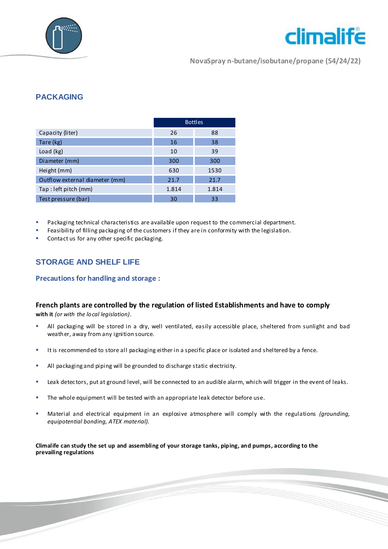



**NovaSpray n-butane/isobutane/propane (54/24/22)**

## **PACKAGING**

|                                | <b>Bottles</b> |       |
|--------------------------------|----------------|-------|
| Capacity (liter)               | 26             | 88    |
| Tare (kg)                      | 16             | 38    |
| Load (kg)                      | 10             | 39    |
| Diameter (mm)                  | 300            | 300   |
| Height (mm)                    | 630            | 1530  |
| Outflow external diameter (mm) | 21.7           | 21.7  |
| Tap : left pitch (mm)          | 1.814          | 1.814 |
| Test pressure (bar)            | 30             | 33    |

- Packaging technical characteristics are available upon request to the commercial department.
- Feasibility of filling packaging of the customers if they are in conformity with the legislation.
- Contact us for any other specific packaging.

## **STORAGE AND SHELF LIFE**

#### **Precautions for handling and storage :**

### **French plants are controlled by the regulation of listed Establishments and have to comply**

**with it** *(or with the local legislation).*

- All packaging will be stored in a dry, well ventilated, easily accessible place, sheltered from sunlight and bad weather, away from any ignition source.
- It is recommended to store all packaging either in a specific place or isolated and sheltered by a fence.
- All packaging and piping will be grounded to discharge static electricity.
- **EXECT A** Leak detectors, put at ground level, will be connected to an audible alarm, which will trigger in the event of leaks.
- The whole equipment will be tested with an appropriate leak detector before use.
- Material and electrical equipment in an explosive atmosphere will comply with the regulations *(grounding, equipotential bonding, ATEX material).*

**Climalife can study the set up and assembling of your storage tanks, piping, and pumps, according to the prevailing regulations**